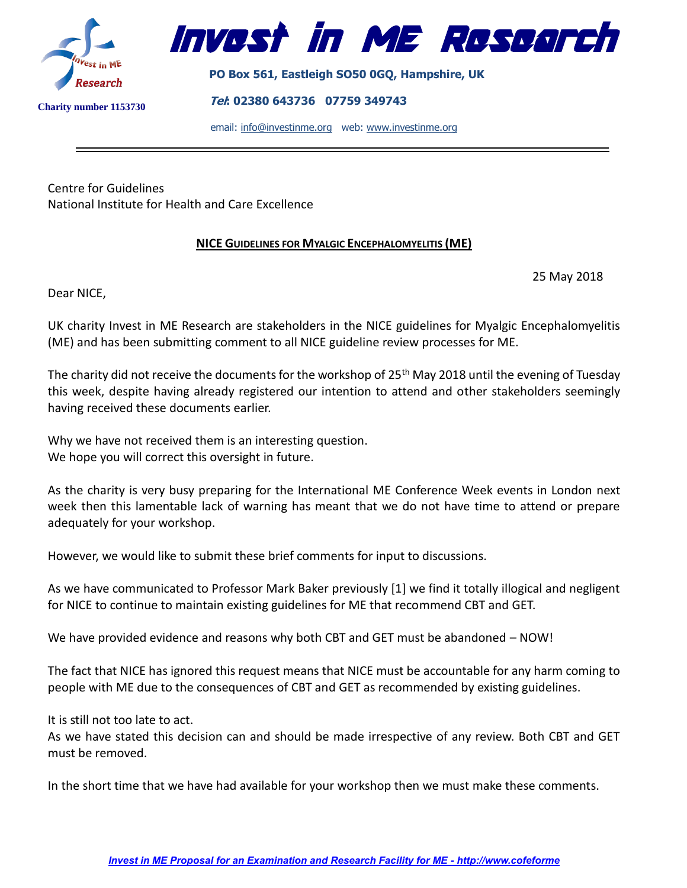



**PO Box 561, Eastleigh SO50 0GQ, Hampshire, UK**

**Tel: 02380 643736 07759 349743** 

email: [info@investinme.org](mailto:info@investinme.org) web: [www.investinme.org](http://www.investinme.org/)

Centre for Guidelines National Institute for Health and Care Excellence

## **NICE GUIDELINES FOR MYALGIC ENCEPHALOMYELITIS (ME)**

25 May 2018

Dear NICE,

UK charity Invest in ME Research are stakeholders in the NICE guidelines for Myalgic Encephalomyelitis (ME) and has been submitting comment to all NICE guideline review processes for ME.

The charity did not receive the documents for the workshop of 25<sup>th</sup> May 2018 until the evening of Tuesday this week, despite having already registered our intention to attend and other stakeholders seemingly having received these documents earlier.

Why we have not received them is an interesting question. We hope you will correct this oversight in future.

As the charity is very busy preparing for the International ME Conference Week events in London next week then this lamentable lack of warning has meant that we do not have time to attend or prepare adequately for your workshop.

However, we would like to submit these brief comments for input to discussions.

As we have communicated to Professor Mark Baker previously [1] we find it totally illogical and negligent for NICE to continue to maintain existing guidelines for ME that recommend CBT and GET.

We have provided evidence and reasons why both CBT and GET must be abandoned – NOW!

The fact that NICE has ignored this request means that NICE must be accountable for any harm coming to people with ME due to the consequences of CBT and GET as recommended by existing guidelines.

It is still not too late to act.

As we have stated this decision can and should be made irrespective of any review. Both CBT and GET must be removed.

In the short time that we have had available for your workshop then we must make these comments.